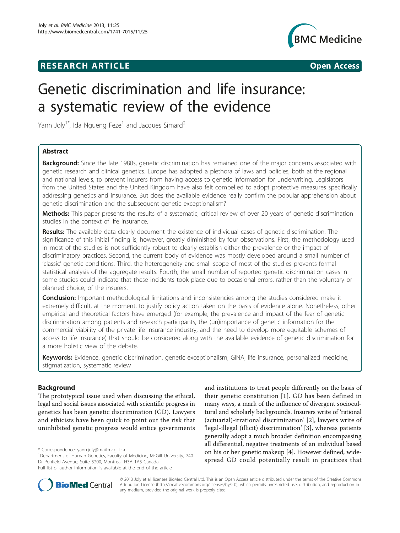# **RESEARCH ARTICLE Example 2008 CONSIDERING CONSIDERING CONSIDERING CONSIDERING CONSIDERING CONSIDERING CONSIDERING CONSIDERING CONSIDERING CONSIDERING CONSIDERING CONSIDERING CONSIDERING CONSIDERING CONSIDERING CONSIDE**



# Genetic discrimination and life insurance: a systematic review of the evidence

Yann Joly<sup>1\*</sup>, Ida Ngueng Feze<sup>1</sup> and Jacques Simard<sup>2</sup>

# Abstract

Background: Since the late 1980s, genetic discrimination has remained one of the major concerns associated with genetic research and clinical genetics. Europe has adopted a plethora of laws and policies, both at the regional and national levels, to prevent insurers from having access to genetic information for underwriting. Legislators from the United States and the United Kingdom have also felt compelled to adopt protective measures specifically addressing genetics and insurance. But does the available evidence really confirm the popular apprehension about genetic discrimination and the subsequent genetic exceptionalism?

Methods: This paper presents the results of a systematic, critical review of over 20 years of genetic discrimination studies in the context of life insurance.

Results: The available data clearly document the existence of individual cases of genetic discrimination. The significance of this initial finding is, however, greatly diminished by four observations. First, the methodology used in most of the studies is not sufficiently robust to clearly establish either the prevalence or the impact of discriminatory practices. Second, the current body of evidence was mostly developed around a small number of 'classic' genetic conditions. Third, the heterogeneity and small scope of most of the studies prevents formal statistical analysis of the aggregate results. Fourth, the small number of reported genetic discrimination cases in some studies could indicate that these incidents took place due to occasional errors, rather than the voluntary or planned choice, of the insurers.

**Conclusion:** Important methodological limitations and inconsistencies among the studies considered make it extremely difficult, at the moment, to justify policy action taken on the basis of evidence alone. Nonetheless, other empirical and theoretical factors have emerged (for example, the prevalence and impact of the fear of genetic discrimination among patients and research participants, the (un)importance of genetic information for the commercial viability of the private life insurance industry, and the need to develop more equitable schemes of access to life insurance) that should be considered along with the available evidence of genetic discrimination for a more holistic view of the debate.

Keywords: Evidence, genetic discrimination, genetic exceptionalism, GINA, life insurance, personalized medicine, stigmatization, systematic review

# Background

The prototypical issue used when discussing the ethical, legal and social issues associated with scientific progress in genetics has been genetic discrimination (GD). Lawyers and ethicists have been quick to point out the risk that uninhibited genetic progress would entice governments

<sup>1</sup>Department of Human Genetics, Faculty of Medicine, McGill University, 740 Dr Penfield Avenue, Suite 5200, Montreal, H3A 1A5 Canada Full list of author information is available at the end of the article

and institutions to treat people differently on the basis of their genetic constitution [[1\]](#page-13-0). GD has been defined in many ways, a mark of the influence of divergent sociocultural and scholarly backgrounds. Insurers write of 'rational (actuarial)-irrational discrimination' [[2\]](#page-13-0), lawyers write of 'legal-illegal (illicit) discrimination' [[3\]](#page-13-0), whereas patients generally adopt a much broader definition encompassing all differential, negative treatments of an individual based on his or her genetic makeup [[4](#page-13-0)]. However defined, widespread GD could potentially result in practices that



© 2013 Joly et al; licensee BioMed Central Ltd. This is an Open Access article distributed under the terms of the Creative Commons Attribution License [\(http://creativecommons.org/licenses/by/2.0](http://creativecommons.org/licenses/by/2.0)), which permits unrestricted use, distribution, and reproduction in any medium, provided the original work is properly cited.

<sup>\*</sup> Correspondence: [yann.joly@mail.mcgill.ca](mailto:yann.joly@mail.mcgill.ca)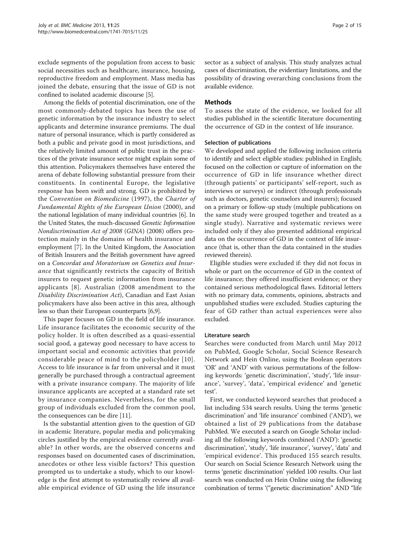exclude segments of the population from access to basic social necessities such as healthcare, insurance, housing, reproductive freedom and employment. Mass media has joined the debate, ensuring that the issue of GD is not confined to isolated academic discourse [\[5\]](#page-13-0).

Among the fields of potential discrimination, one of the most commonly-debated topics has been the use of genetic information by the insurance industry to select applicants and determine insurance premiums. The dual nature of personal insurance, which is partly considered as both a public and private good in most jurisdictions, and the relatively limited amount of public trust in the practices of the private insurance sector might explain some of this attention. Policymakers themselves have entered the arena of debate following substantial pressure from their constituents. In continental Europe, the legislative response has been swift and strong. GD is prohibited by the Convention on Biomedicine (1997), the Charter of Fundamental Rights of the European Union (2000), and the national legislation of many individual countries [\[6](#page-13-0)]. In the United States, the much-discussed Genetic Information Nondiscrimination Act of 2008 (GINA) (2008) offers protection mainly in the domains of health insurance and employment [[7\]](#page-13-0). In the United Kingdom, the Association of British Insurers and the British government have agreed on a Concordat and Moratorium on Genetics and Insurance that significantly restricts the capacity of British insurers to request genetic information from insurance applicants [[8](#page-13-0)]. Australian (2008 amendment to the Disability Discrimination Act), Canadian and East Asian policymakers have also been active in this area, although less so than their European counterparts [[6,9](#page-13-0)].

This paper focuses on GD in the field of life insurance. Life insurance facilitates the economic security of the policy holder. It is often described as a quasi-essential social good, a gateway good necessary to have access to important social and economic activities that provide considerable peace of mind to the policyholder [[10\]](#page-13-0). Access to life insurance is far from universal and it must generally be purchased through a contractual agreement with a private insurance company. The majority of life insurance applicants are accepted at a standard rate set by insurance companies. Nevertheless, for the small group of individuals excluded from the common pool, the consequences can be dire [\[11](#page-13-0)].

Is the substantial attention given to the question of GD in academic literature, popular media and policymaking circles justified by the empirical evidence currently available? In other words, are the observed concerns and responses based on documented cases of discrimination, anecdotes or other less visible factors? This question prompted us to undertake a study, which to our knowledge is the first attempt to systematically review all available empirical evidence of GD using the life insurance sector as a subject of analysis. This study analyzes actual cases of discrimination, the evidentiary limitations, and the possibility of drawing overarching conclusions from the available evidence.

# **Methods**

To assess the state of the evidence, we looked for all studies published in the scientific literature documenting the occurrence of GD in the context of life insurance.

# Selection of publications

We developed and applied the following inclusion criteria to identify and select eligible studies: published in English; focused on the collection or capture of information on the occurrence of GD in life insurance whether direct (through patients' or participants' self-report, such as interviews or surveys) or indirect (through professionals such as doctors, genetic counselors and insurers); focused on a primary or follow-up study (multiple publications on the same study were grouped together and treated as a single study). Narrative and systematic reviews were included only if they also presented additional empirical data on the occurrence of GD in the context of life insurance (that is, other than the data contained in the studies reviewed therein).

Eligible studies were excluded if: they did not focus in whole or part on the occurrence of GD in the context of life insurance; they offered insufficient evidence; or they contained serious methodological flaws. Editorial letters with no primary data, comments, opinions, abstracts and unpublished studies were excluded. Studies capturing the fear of GD rather than actual experiences were also excluded.

# Literature search

Searches were conducted from March until May 2012 on PubMed, Google Scholar, Social Science Research Network and Hein Online, using the Boolean operators 'OR' and 'AND' with various permutations of the following keywords: 'genetic discrimination', 'study', 'life insurance', 'survey', 'data', 'empirical evidence' and 'genetic test'.

First, we conducted keyword searches that produced a list including 534 search results. Using the terms 'genetic discrimination' and 'life insurance' combined ('AND'), we obtained a list of 29 publications from the database PubMed. We executed a search on Google Scholar including all the following keywords combined ('AND'): 'genetic discrimination', 'study', 'life insurance', 'survey', 'data' and 'empirical evidence'. This produced 155 search results. Our search on Social Science Research Network using the terms 'genetic discrimination' yielded 100 results. Our last search was conducted on Hein Online using the following combination of terms '("genetic discrimination" AND "life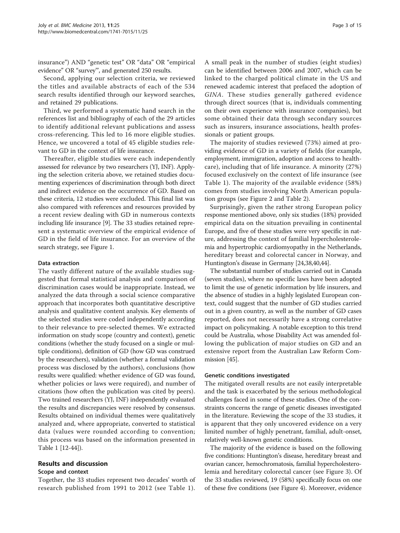insurance") AND "genetic test" OR "data" OR "empirical evidence" OR "survey"', and generated 250 results.

Second, applying our selection criteria, we reviewed the titles and available abstracts of each of the 534 search results identified through our keyword searches, and retained 29 publications.

Third, we performed a systematic hand search in the references list and bibliography of each of the 29 articles to identify additional relevant publications and assess cross-referencing. This led to 16 more eligible studies. Hence, we uncovered a total of 45 eligible studies relevant to GD in the context of life insurance.

Thereafter, eligible studies were each independently assessed for relevance by two researchers (YJ, INF). Applying the selection criteria above, we retained studies documenting experiences of discrimination through both direct and indirect evidence on the occurrence of GD. Based on these criteria, 12 studies were excluded. This final list was also compared with references and resources provided by a recent review dealing with GD in numerous contexts including life insurance [\[9](#page-13-0)]. The 33 studies retained represent a systematic overview of the empirical evidence of GD in the field of life insurance. For an overview of the search strategy, see Figure [1.](#page-3-0)

### Data extraction

The vastly different nature of the available studies suggested that formal statistical analysis and comparison of discrimination cases would be inappropriate. Instead, we analyzed the data through a social science comparative approach that incorporates both quantitative descriptive analysis and qualitative content analysis. Key elements of the selected studies were coded independently according to their relevance to pre-selected themes. We extracted information on study scope (country and context), genetic conditions (whether the study focused on a single or multiple conditions), definition of GD (how GD was construed by the researchers), validation (whether a formal validation process was disclosed by the authors), conclusions (how results were qualified: whether evidence of GD was found, whether policies or laws were required), and number of citations (how often the publication was cited by peers). Two trained researchers (YJ, INF) independently evaluated the results and discrepancies were resolved by consensus. Results obtained on individual themes were qualitatively analyzed and, where appropriate, converted to statistical data (values were rounded according to convention; this process was based on the information presented in Table [1](#page-4-0) [\[12](#page-13-0)[-44\]](#page-14-0)).

# Results and discussion

#### Scope and context

Together, the 33 studies represent two decades' worth of research published from 1991 to 2012 (see Table [1\)](#page-4-0).

A small peak in the number of studies (eight studies) can be identified between 2006 and 2007, which can be linked to the charged political climate in the US and renewed academic interest that prefaced the adoption of GINA. These studies generally gathered evidence through direct sources (that is, individuals commenting on their own experience with insurance companies), but some obtained their data through secondary sources such as insurers, insurance associations, health professionals or patient groups.

The majority of studies reviewed (73%) aimed at providing evidence of GD in a variety of fields (for example, employment, immigration, adoption and access to healthcare), including that of life insurance. A minority (27%) focused exclusively on the context of life insurance (see Table [1](#page-4-0)). The majority of the available evidence (58%) comes from studies involving North American population groups (see Figure [2](#page-8-0) and Table [2\)](#page-8-0).

Surprisingly, given the rather strong European policy response mentioned above, only six studies (18%) provided empirical data on the situation prevailing in continental Europe, and five of these studies were very specific in nature, addressing the context of familial hypercholesterolemia and hypertrophic cardiomyopathy in the Netherlands, hereditary breast and colorectal cancer in Norway, and Huntington's disease in Germany [\[24,](#page-13-0)[38,40,44](#page-14-0)].

The substantial number of studies carried out in Canada (seven studies), where no specific laws have been adopted to limit the use of genetic information by life insurers, and the absence of studies in a highly legislated European context, could suggest that the number of GD studies carried out in a given country, as well as the number of GD cases reported, does not necessarily have a strong correlative impact on policymaking. A notable exception to this trend could be Australia, whose Disability Act was amended following the publication of major studies on GD and an extensive report from the Australian Law Reform Commission [\[45\]](#page-14-0).

#### Genetic conditions investigated

The mitigated overall results are not easily interpretable and the task is exacerbated by the serious methodological challenges faced in some of these studies. One of the constraints concerns the range of genetic diseases investigated in the literature. Reviewing the scope of the 33 studies, it is apparent that they only uncovered evidence on a very limited number of highly penetrant, familial, adult-onset, relatively well-known genetic conditions.

The majority of the evidence is based on the following five conditions: Huntington's disease, hereditary breast and ovarian cancer, hemochromatosis, familial hypercholesterolemia and hereditary colorectal cancer (see Figure [3\)](#page-9-0). Of the 33 studies reviewed, 19 (58%) specifically focus on one of these five conditions (see Figure [4\)](#page-9-0). Moreover, evidence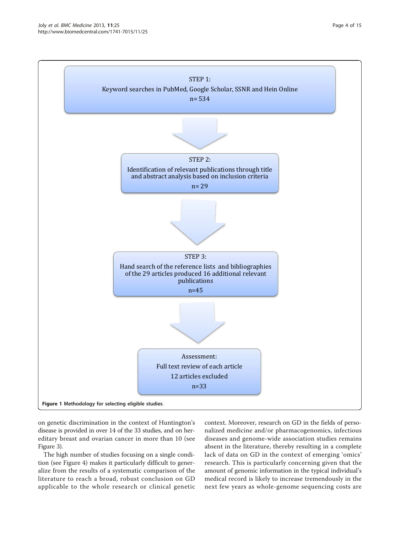<span id="page-3-0"></span>

on genetic discrimination in the context of Huntington's disease is provided in over 14 of the 33 studies, and on hereditary breast and ovarian cancer in more than 10 (see Figure [3\)](#page-9-0).

The high number of studies focusing on a single condition (see Figure [4\)](#page-9-0) makes it particularly difficult to generalize from the results of a systematic comparison of the literature to reach a broad, robust conclusion on GD applicable to the whole research or clinical genetic

context. Moreover, research on GD in the fields of personalized medicine and/or pharmacogenomics, infectious diseases and genome-wide association studies remains absent in the literature, thereby resulting in a complete lack of data on GD in the context of emerging 'omics' research. This is particularly concerning given that the amount of genomic information in the typical individual's medical record is likely to increase tremendously in the next few years as whole-genome sequencing costs are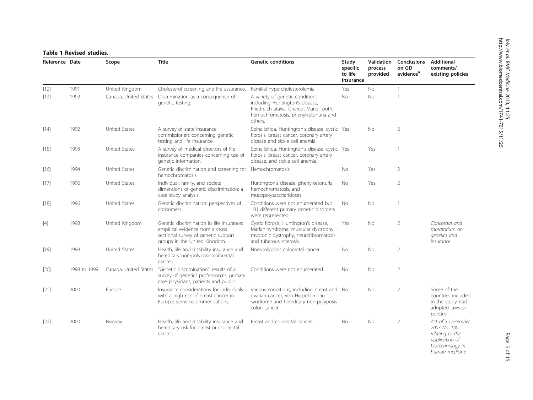<span id="page-4-0"></span>

|                | <b>Table 1 Revised studies.</b> |                       |                                                                                                                                                      |                                                                                                                                                                  |                                           |                                   |                                               |                                                                                      |  |  |  |  |
|----------------|---------------------------------|-----------------------|------------------------------------------------------------------------------------------------------------------------------------------------------|------------------------------------------------------------------------------------------------------------------------------------------------------------------|-------------------------------------------|-----------------------------------|-----------------------------------------------|--------------------------------------------------------------------------------------|--|--|--|--|
| Reference Date |                                 | Scope                 | <b>Title</b>                                                                                                                                         | <b>Genetic conditions</b>                                                                                                                                        | Study<br>specific<br>to life<br>insurance | Validation<br>process<br>provided | Conclusions<br>on GD<br>evidence <sup>a</sup> | Additional<br>comments/<br>existing policies                                         |  |  |  |  |
| $[12]$         | 1991                            | United Kingdom        | Cholesterol screening and life assurance.                                                                                                            | Familial hypercholesterolemia.                                                                                                                                   | Yes                                       | <b>No</b>                         | $\overline{1}$                                |                                                                                      |  |  |  |  |
| $[13]$         | 1992                            | Canada, United States | Discrimination as a consequence of<br>genetic testing.                                                                                               | A variety of genetic conditions<br>including Huntington's disease,<br>Friedreich ataxia, Charcot-Marie-Tooth,<br>hemochromatosis, phenylketonuria and<br>others. | <b>No</b>                                 | No                                |                                               |                                                                                      |  |  |  |  |
| $[14]$         | 1992                            | <b>United States</b>  | A survey of state insurance<br>commissioners concerning genetic<br>testing and life insurance.                                                       | Spina bifida, Huntington's disease, cystic Yes<br>fibrosis, breast cancer, coronary artery<br>disease and sickle cell anemia.                                    |                                           | No                                | $\overline{2}$                                |                                                                                      |  |  |  |  |
| $[15]$         | 1993                            | <b>United States</b>  | A survey of medical directors of life<br>insurance companies concerning use of<br>genetic information.                                               | Spina bifida, Huntington's disease, cystic Yes<br>fibrosis, breast cancer, coronary artery<br>disease, and sickle cell anemia.                                   |                                           | Yes                               |                                               |                                                                                      |  |  |  |  |
| [16]           | 1994                            | United States         | Genetic discrimination and screening for Hemochromatosis.<br>hemochromatosis.                                                                        |                                                                                                                                                                  | No                                        | Yes                               | $\overline{2}$                                |                                                                                      |  |  |  |  |
| $[17]$         | 1996                            | United States         | Individual, family, and societal<br>dimensions of genetic discrimination: a<br>case study analysis.                                                  | Huntington's disease, phenylketonuria,<br>hemochromatosis, and<br>mucopolysaccharidoses.                                                                         | No                                        | Yes                               | $\overline{2}$                                |                                                                                      |  |  |  |  |
| $[18]$         | 1996                            | United States         | Genetic discrimination: perspectives of<br>consumers.                                                                                                | Conditions were not enumerated but<br>101 different primary genetic disorders<br>were represented.                                                               | No.                                       | No                                |                                               |                                                                                      |  |  |  |  |
| $[4]$          | 1998                            | United Kingdom        | Genetic discrimination in life insurance:<br>empirical evidence from a cross<br>sectional survey of genetic support<br>groups in the United Kingdom. | Cystic fibrosis, Huntington's disease,<br>Marfan syndrome, muscular dystrophy,<br>myotonic dystrophy, neurofibromatosis<br>and tuberous sclerosis.               | Yes                                       | <b>No</b>                         | $\overline{2}$                                | Concordat and<br>moratorium on<br>genetics and<br>insurance                          |  |  |  |  |
| [19]           | 1998                            | <b>United States</b>  | Health, life and disability insurance and<br>hereditary non-polyposis colorectal<br>cancer.                                                          | Non-polyposis colorectal cancer.                                                                                                                                 | <b>No</b>                                 | <b>No</b>                         | $\overline{2}$                                |                                                                                      |  |  |  |  |
| $[20]$         | 1998 to 1999                    | Canada, United States | "Genetic discrimination": results of a<br>survey of genetics professionals, primary<br>care physicians, patients and public.                         | Conditions were not enumerated.                                                                                                                                  | <b>No</b>                                 | No.                               | $\overline{2}$                                |                                                                                      |  |  |  |  |
| $[21]$         | 2000                            | Europe                | Insurance considerations for individuals<br>with a high risk of breast cancer in<br>Europe: some recommendations.                                    | Various conditions, including breast and No<br>ovarian cancer, Von Hippel-Lindau<br>syndrome and hereditary non-polyposis<br>colon cancer.                       |                                           | No                                | $\overline{2}$                                | Some of the<br>countries included<br>in the study had<br>adopted laws or<br>policies |  |  |  |  |
| $[22]$         | 2000                            | Norway                | Health, life and disability insurance and<br>hereditary risk for breast or colorectal<br>cancer.                                                     | Breast and colorectal cancer.                                                                                                                                    | No                                        | No                                | $\overline{2}$                                | Act of 5 December<br>2003 No. 100<br>relating to the<br>application of               |  |  |  |  |

biotechnology in human medicine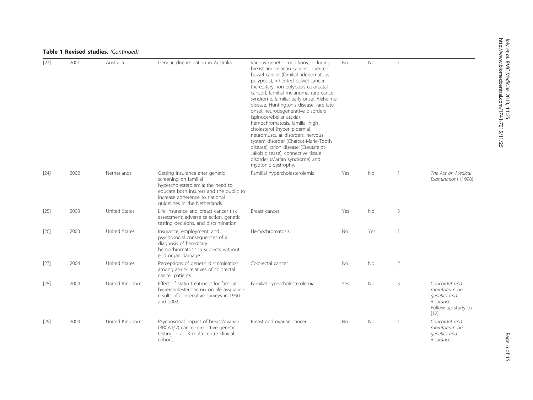|  |  |  |  | Table 1 Revised studies. (Continued) |
|--|--|--|--|--------------------------------------|
|--|--|--|--|--------------------------------------|

| $[23]$ | 2001 | Australia            | Genetic discrimination in Australia.                                                                                                                                                                         | Various genetic conditions, including                                                                                                                                                                                                                                                                                                                                                                                                                                                                                                                                                                                                                | No  | No  | $\overline{1}$ |                                                                                             |
|--------|------|----------------------|--------------------------------------------------------------------------------------------------------------------------------------------------------------------------------------------------------------|------------------------------------------------------------------------------------------------------------------------------------------------------------------------------------------------------------------------------------------------------------------------------------------------------------------------------------------------------------------------------------------------------------------------------------------------------------------------------------------------------------------------------------------------------------------------------------------------------------------------------------------------------|-----|-----|----------------|---------------------------------------------------------------------------------------------|
|        |      |                      |                                                                                                                                                                                                              | breast and ovarian cancer, inherited<br>bowel cancer (familial adenomatous<br>polyposis), inherited bowel cancer<br>(hereditary non-polyposis colorectal<br>cancer), familial melanoma, rare cancer<br>syndrome, familial early-onset Alzheimer<br>disease, Huntington's disease, rare late-<br>onset neurodegenerative disorders<br>(spinocerebellar ataxia),<br>hemochromatosis, familial high<br>cholesterol (hyperlipidemia),<br>neuromuscular disorders, nervous<br>system disorder (Charcot-Marie-Tooth<br>disease), prion disease (Creutzfeldt-<br>Jakob disease), connective tissue<br>disorder (Marfan syndrome) and<br>myotonic dystrophy. |     |     |                |                                                                                             |
| $[24]$ | 2002 | Netherlands          | Getting insurance after genetic<br>screening on familial<br>hypercholesterolemia; the need to<br>educate both insurers and the public to<br>increase adherence to national<br>quidelines in the Netherlands. | Familial hypercholesterolemia.                                                                                                                                                                                                                                                                                                                                                                                                                                                                                                                                                                                                                       | Yes | No  | $\mathbf{1}$   | The Act on Medical<br>Examinations (1998)                                                   |
| $[25]$ | 2003 | <b>United States</b> | Life insurance and breast cancer risk<br>assessment: adverse selection, genetic<br>testing decisions, and discrimination.                                                                                    | Breast cancer.                                                                                                                                                                                                                                                                                                                                                                                                                                                                                                                                                                                                                                       | Yes | No  | 3              |                                                                                             |
| [26]   | 2003 | <b>United States</b> | Insurance, employment, and<br>psychosocial consequences of a<br>diagnosis of hereditary<br>hemochromatosis in subjects without<br>end organ damage.                                                          | Hemochromatosis.                                                                                                                                                                                                                                                                                                                                                                                                                                                                                                                                                                                                                                     | No  | Yes | $\mathbf{1}$   |                                                                                             |
| $[27]$ | 2004 | <b>United States</b> | Perceptions of genetic discrimination<br>among at-risk relatives of colorectal<br>cancer patients.                                                                                                           | Colorectal cancer.                                                                                                                                                                                                                                                                                                                                                                                                                                                                                                                                                                                                                                   | No  | No  | $\overline{2}$ |                                                                                             |
| $[28]$ | 2004 | United Kingdom       | Effect of statin treatment for familial<br>hypercholesterolaemia on life assurance:<br>results of consecutive surveys in 1990<br>and 2002.                                                                   | Familial hypercholesterolemia.                                                                                                                                                                                                                                                                                                                                                                                                                                                                                                                                                                                                                       | Yes | No  | 3              | Concordat and<br>moratorium on<br>genetics and<br>insurance<br>Follow-up study to<br>$[12]$ |
| $[29]$ | 2004 | United Kingdom       | Psychosocial impact of breast/ovarian<br>(BRCA1/2) cancer-predictive genetic<br>testing in a UK multi-centre clinical<br>cohort.                                                                             | Breast and ovarian cancer.                                                                                                                                                                                                                                                                                                                                                                                                                                                                                                                                                                                                                           | No  | No  | $\mathbf{1}$   | Concordat and<br>moratorium on<br>genetics and<br>insurance                                 |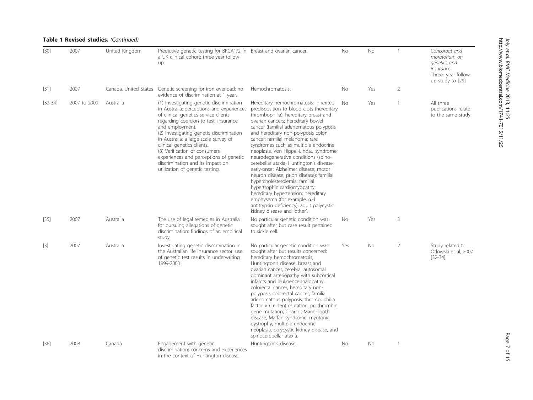|           | Table 1 Revised studies. (Continued) |                |                                                                                                                                                                                                                                                                                                                                                                                                                                                                 |                                                                                                                                                                                                                                                                                                                                                                                                                                                                                                                                                                                                                                                                                                                                                                           |           |           |                |                                                                                                        |
|-----------|--------------------------------------|----------------|-----------------------------------------------------------------------------------------------------------------------------------------------------------------------------------------------------------------------------------------------------------------------------------------------------------------------------------------------------------------------------------------------------------------------------------------------------------------|---------------------------------------------------------------------------------------------------------------------------------------------------------------------------------------------------------------------------------------------------------------------------------------------------------------------------------------------------------------------------------------------------------------------------------------------------------------------------------------------------------------------------------------------------------------------------------------------------------------------------------------------------------------------------------------------------------------------------------------------------------------------------|-----------|-----------|----------------|--------------------------------------------------------------------------------------------------------|
| $[30]$    | 2007                                 | United Kingdom | Predictive genetic testing for BRCA1/2 in Breast and ovarian cancer.<br>a UK clinical cohort: three-year follow-<br>up.                                                                                                                                                                                                                                                                                                                                         |                                                                                                                                                                                                                                                                                                                                                                                                                                                                                                                                                                                                                                                                                                                                                                           | <b>No</b> | <b>No</b> | $\overline{1}$ | Concordat and<br>moratorium on<br>genetics and<br>insurance<br>Three- year follow-<br>up study to [29] |
| $[31]$    | 2007                                 |                | Canada, United States Genetic screening for iron overload: no<br>evidence of discrimination at 1 year.                                                                                                                                                                                                                                                                                                                                                          | Hemochromatosis.                                                                                                                                                                                                                                                                                                                                                                                                                                                                                                                                                                                                                                                                                                                                                          | No        | Yes       | 2              |                                                                                                        |
| $[32-34]$ | 2007 to 2009                         | Australia      | (1) Investigating genetic discrimination<br>in Australia: perceptions and experiences<br>of clinical genetics service clients<br>regarding coercion to test, insurance<br>and employment.<br>(2) Investigating genetic discrimination<br>in Australia: a large-scale survey of<br>clinical genetics clients.<br>(3) Verification of consumers'<br>experiences and perceptions of genetic<br>discrimination and its impact on<br>utilization of genetic testing. | Hereditary hemochromatosis; inherited<br>predisposition to blood clots (hereditary<br>thrombophilia); hereditary breast and<br>ovarian cancers; hereditary bowel<br>cancer (familial adenomatous polyposis<br>and hereditary non-polyposis colon<br>cancer; familial melanoma; rare<br>syndromes such as multiple endocrine<br>neoplasia, Von Hippel-Lindau syndrome;<br>neurodegenerative conditions (spino-<br>cerebellar ataxia; Huntington's disease;<br>early-onset Alzheimer disease; motor<br>neuron disease; prion disease); familial<br>hypercholesterolemia; familial<br>hypertrophic cardiomyopathy;<br>hereditary hypertension; hereditary<br>emphysema (for example, $\alpha$ -1<br>antitrypsin deficiency); adult polycystic<br>kidney disease and 'other'. | No.       | Yes       | $\mathbf{1}$   | All three<br>publications relate<br>to the same study                                                  |
| $[35]$    | 2007                                 | Australia      | The use of legal remedies in Australia<br>for pursuing allegations of genetic<br>discrimination: findings of an empirical<br>study.                                                                                                                                                                                                                                                                                                                             | No particular genetic condition was<br>sought after but case result pertained<br>to sickle cell.                                                                                                                                                                                                                                                                                                                                                                                                                                                                                                                                                                                                                                                                          | No        | Yes       | 3              |                                                                                                        |
| $[3]$     | 2007                                 | Australia      | Investigating genetic discrimination in<br>the Australian life insurance sector: use<br>of genetic test results in underwriting<br>1999-2003.                                                                                                                                                                                                                                                                                                                   | No particular genetic condition was<br>sought after but results concerned:<br>hereditary hemochromatosis,<br>Huntington's disease, breast and<br>ovarian cancer, cerebral autosomal<br>dominant arteriopathy with subcortical<br>infarcts and leukoencephalopathy,<br>colorectal cancer, hereditary non-<br>polyposis colorectal cancer, familial<br>adenomatous polyposis, thrombophilia<br>factor V (Leiden) mutation, prothrombin<br>gene mutation, Charcot-Marie-Tooth<br>disease, Marfan syndrome, myotonic<br>dystrophy, multiple endocrine<br>neoplasia, polycystic kidney disease, and<br>spinocerebellar ataxia.                                                                                                                                                 | Yes       | No        | $\overline{2}$ | Study related to<br>Otlowski et al, 2007<br>$[32-34]$                                                  |
| $[36]$    | 2008                                 | Canada         | Engagement with genetic<br>discrimination: concerns and experiences<br>in the context of Huntington disease.                                                                                                                                                                                                                                                                                                                                                    | Huntington's disease.                                                                                                                                                                                                                                                                                                                                                                                                                                                                                                                                                                                                                                                                                                                                                     | <b>No</b> | No        | $\mathbf{1}$   |                                                                                                        |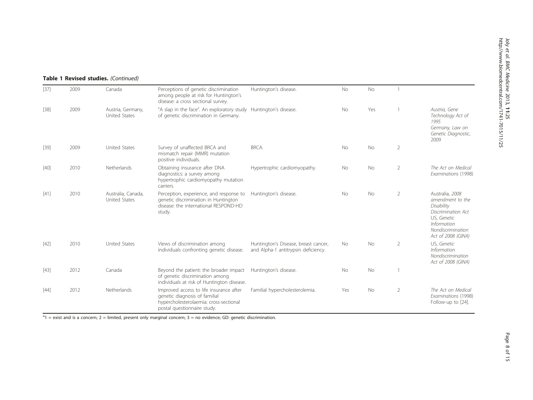| $[37]$ | 2009 | Canada                                     | Perceptions of genetic discrimination<br>among people at risk for Huntington's<br>disease: a cross sectional survey.                              | Huntington's disease.                                                       | <b>No</b> | <b>No</b> |                |                                                                                                                                                                |
|--------|------|--------------------------------------------|---------------------------------------------------------------------------------------------------------------------------------------------------|-----------------------------------------------------------------------------|-----------|-----------|----------------|----------------------------------------------------------------------------------------------------------------------------------------------------------------|
| $[38]$ | 2009 | Austria, Germany,<br><b>United States</b>  | "A slap in the face". An exploratory study Huntington's disease.<br>of genetic discrimination in Germany.                                         |                                                                             | No        | Yes       |                | Austria, Gene<br>Technology Act of<br>1995<br>Germany, Law on<br>Genetic Diagnostic,<br>2009                                                                   |
| $[39]$ | 2009 | <b>United States</b>                       | Survey of unaffected BRCA and<br>mismatch repair (MMR) mutation<br>positive individuals.                                                          | BRCA.                                                                       | <b>No</b> | No        | 2              |                                                                                                                                                                |
| $[40]$ | 2010 | Netherlands                                | Obtaining insurance after DNA<br>diagnostics: a survey among<br>hypertrophic cardiomyopathy mutation<br>carriers.                                 | Hypertrophic cardiomyopathy.                                                | No        | <b>No</b> | $\overline{2}$ | The Act on Medical<br>Examinations (1998)                                                                                                                      |
| $[41]$ | 2010 | Australia, Canada,<br><b>United States</b> | Perception, experience, and response to<br>genetic discrimination in Huntington<br>disease: the international RESPOND-HD<br>study.                | Huntington's disease.                                                       | <b>No</b> | <b>No</b> | 2              | Australia, 2008<br>amendment to the<br>Disability<br><b>Discrimination Act</b><br>US, Genetic<br><b>Information</b><br>Nondiscrimination<br>Act of 2008 (GINA) |
| $[42]$ | 2010 | United States                              | Views of discrimination among<br>individuals confronting genetic disease.                                                                         | Huntington's Disease, breast cancer,<br>and Alpha-1 antitrypsin deficiency. | No        | <b>No</b> | 2              | US, Genetic<br><i>Information</i><br>Nondiscrimination<br>Act of 2008 (GINA)                                                                                   |
| $[43]$ | 2012 | Canada                                     | Beyond the patient: the broader impact<br>of genetic discrimination among<br>individuals at risk of Huntington disease.                           | Huntington's disease.                                                       | No        | No        |                |                                                                                                                                                                |
| $[44]$ | 2012 | Netherlands                                | Improved access to life insurance after<br>genetic diagnosis of familial<br>hypercholesterolaemia: cross-sectional<br>postal questionnaire study. | Familial hypercholesterolemia.                                              | Yes       | <b>No</b> | $\overline{2}$ | The Act on Medical<br>Examinations (1998)<br>Follow-up to [24].                                                                                                |

# Table 1 Revised studies. (Continued)

 $a_1$  = exist and is a concern; 2 = limited, present only marginal concern; 3 = no evidence; GD: genetic discrimination.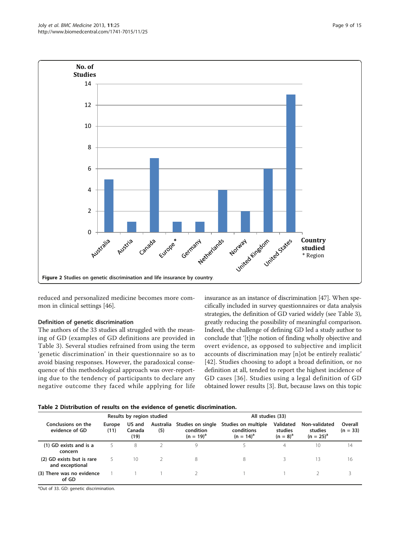<span id="page-8-0"></span>

reduced and personalized medicine becomes more common in clinical settings [[46\]](#page-14-0).

# Definition of genetic discrimination

The authors of the 33 studies all struggled with the meaning of GD (examples of GD definitions are provided in Table [3\)](#page-10-0). Several studies refrained from using the term 'genetic discrimination' in their questionnaire so as to avoid biasing responses. However, the paradoxical consequence of this methodological approach was over-reporting due to the tendency of participants to declare any negative outcome they faced while applying for life insurance as an instance of discrimination [\[47](#page-14-0)]. When specifically included in survey questionnaires or data analysis strategies, the definition of GD varied widely (see Table [3](#page-10-0)), greatly reducing the possibility of meaningful comparison. Indeed, the challenge of defining GD led a study author to conclude that '[t]he notion of finding wholly objective and overt evidence, as opposed to subjective and implicit accounts of discrimination may [n]ot be entirely realistic' [[42\]](#page-14-0). Studies choosing to adopt a broad definition, or no definition at all, tended to report the highest incidence of GD cases [[36\]](#page-14-0). Studies using a legal definition of GD obtained lower results [\[3](#page-13-0)]. But, because laws on this topic

|  |  |  |  |  |  |  |  |  |  | Table 2 Distribution of results on the evidence of genetic discrimination. |
|--|--|--|--|--|--|--|--|--|--|----------------------------------------------------------------------------|
|--|--|--|--|--|--|--|--|--|--|----------------------------------------------------------------------------|

| All studies (33)<br>Results by region studied |                |                          |                  |                                                  |                                                     |                                       |                                            |                       |  |  |  |
|-----------------------------------------------|----------------|--------------------------|------------------|--------------------------------------------------|-----------------------------------------------------|---------------------------------------|--------------------------------------------|-----------------------|--|--|--|
| Conclusions on the<br>evidence of GD          | Europe<br>(11) | US and<br>Canada<br>(19) | Australia<br>(5) | Studies on single<br>condition<br>$(n = 19)^{a}$ | Studies on multiple<br>conditions<br>$(n = 14)^{a}$ | Validated<br>studies<br>$(n = 8)^{a}$ | Non-validated<br>studies<br>$(n = 25)^{a}$ | Overall<br>$(n = 33)$ |  |  |  |
| (1) GD exists and is a<br>concern             |                | 8                        |                  | 9                                                |                                                     | $\overline{4}$                        | 10                                         | 14                    |  |  |  |
| (2) GD exists but is rare<br>and exceptional  |                | 10                       |                  | 8                                                | 8                                                   |                                       | 13                                         | 16                    |  |  |  |
| (3) There was no evidence<br>of GD            |                |                          |                  |                                                  |                                                     |                                       |                                            |                       |  |  |  |

<sup>a</sup>Out of 33. GD: genetic discrimination.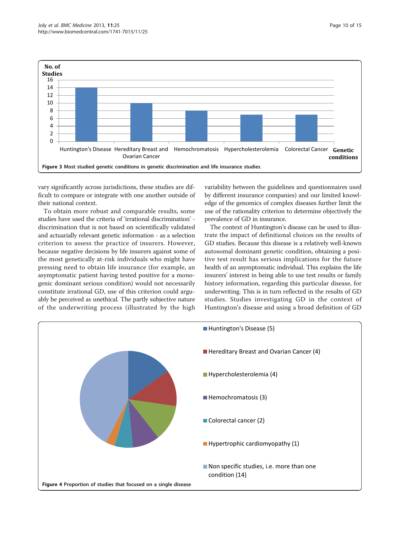<span id="page-9-0"></span>

vary significantly across jurisdictions, these studies are difficult to compare or integrate with one another outside of their national context.

To obtain more robust and comparable results, some studies have used the criteria of 'irrational discrimination' discrimination that is not based on scientifically validated and actuarially relevant genetic information - as a selection criterion to assess the practice of insurers. However, because negative decisions by life insurers against some of the most genetically at-risk individuals who might have pressing need to obtain life insurance (for example, an asymptomatic patient having tested positive for a monogenic dominant serious condition) would not necessarily constitute irrational GD, use of this criterion could arguably be perceived as unethical. The partly subjective nature of the underwriting process (illustrated by the high

variability between the guidelines and questionnaires used by different insurance companies) and our limited knowledge of the genomics of complex diseases further limit the use of the rationality criterion to determine objectively the prevalence of GD in insurance.

The context of Huntington's disease can be used to illustrate the impact of definitional choices on the results of GD studies. Because this disease is a relatively well-known autosomal dominant genetic condition, obtaining a positive test result has serious implications for the future health of an asymptomatic individual. This explains the life insurers' interest in being able to use test results or family history information, regarding this particular disease, for underwriting. This is in turn reflected in the results of GD studies. Studies investigating GD in the context of Huntington's disease and using a broad definition of GD

![](_page_9_Figure_6.jpeg)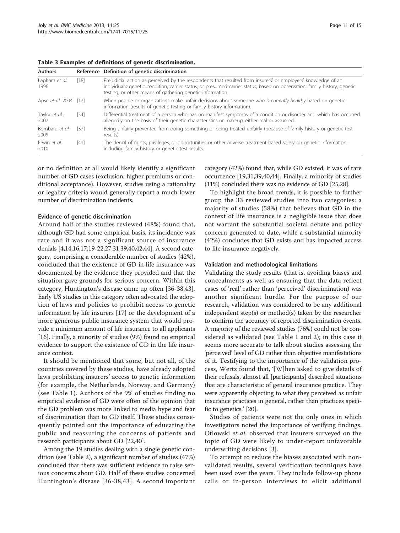<span id="page-10-0"></span>

|  |  |  |  |  |  |  | Table 3 Examples of definitions of genetic discrimination. |
|--|--|--|--|--|--|--|------------------------------------------------------------|
|--|--|--|--|--|--|--|------------------------------------------------------------|

| <b>Authors</b>         |      | Reference Definition of genetic discrimination                                                                                                                                                                                                                                                          |
|------------------------|------|---------------------------------------------------------------------------------------------------------------------------------------------------------------------------------------------------------------------------------------------------------------------------------------------------------|
| Lapham et al.<br>1996  | [18] | Prejudicial action as perceived by the respondents that resulted from insurers' or employers' knowledge of an<br>individual's genetic condition, carrier status, or presumed carrier status, based on observation, family history, genetic<br>testing, or other means of gathering genetic information. |
| Apse et al. 2004       | [17] | When people or organizations make unfair decisions about someone who is currently healthy based on genetic<br>information (results of genetic testing or family history information).                                                                                                                   |
| Taylor et al.,<br>2007 | [34] | Differential treatment of a person who has no manifest symptoms of a condition or disorder and which has occurred<br>allegedly on the basis of their genetic characteristics or makeup, either real or assumed.                                                                                         |
| Bombard et al.<br>2009 | [37] | Being unfairly prevented from doing something or being treated unfairly (because of family history or genetic test<br>results).                                                                                                                                                                         |
| Erwin et al.<br>2010   | [41] | The denial of rights, privileges, or opportunities or other adverse treatment based solely on genetic information,<br>including family history or genetic test results.                                                                                                                                 |

or no definition at all would likely identify a significant number of GD cases (exclusion, higher premiums or conditional acceptance). However, studies using a rationality or legality criteria would generally report a much lower number of discrimination incidents.

# Evidence of genetic discrimination

Around half of the studies reviewed (48%) found that, although GD had some empirical basis, its incidence was rare and it was not a significant source of insurance denials [[4,14,16,17](#page-13-0),[19](#page-13-0)-[22,27,](#page-13-0)[31,39,40,42,44\]](#page-14-0). A second category, comprising a considerable number of studies (42%), concluded that the existence of GD in life insurance was documented by the evidence they provided and that the situation gave grounds for serious concern. Within this category, Huntington's disease came up often [[36-38,43](#page-14-0)]. Early US studies in this category often advocated the adoption of laws and policies to prohibit access to genetic information by life insurers [[17](#page-13-0)] or the development of a more generous public insurance system that would provide a minimum amount of life insurance to all applicants [[16](#page-13-0)]. Finally, a minority of studies (9%) found no empirical evidence to support the existence of GD in the life insurance context.

It should be mentioned that some, but not all, of the countries covered by these studies, have already adopted laws prohibiting insurers' access to genetic information (for example, the Netherlands, Norway, and Germany) (see Table [1](#page-4-0)). Authors of the 9% of studies finding no empirical evidence of GD were often of the opinion that the GD problem was more linked to media hype and fear of discrimination than to GD itself. These studies consequently pointed out the importance of educating the public and reassuring the concerns of patients and research participants about GD [[22](#page-13-0),[40](#page-14-0)].

Among the 19 studies dealing with a single genetic condition (see Table [2](#page-8-0)), a significant number of studies (47%) concluded that there was sufficient evidence to raise serious concerns about GD. Half of these studies concerned Huntington's disease [\[36](#page-14-0)-[38](#page-14-0),[43](#page-14-0)]. A second important category (42%) found that, while GD existed, it was of rare occurrence [\[19,](#page-13-0)[31,39,40,44\]](#page-14-0). Finally, a minority of studies (11%) concluded there was no evidence of GD [\[25,28\]](#page-13-0).

To highlight the broad trends, it is possible to further group the 33 reviewed studies into two categories: a majority of studies (58%) that believes that GD in the context of life insurance is a negligible issue that does not warrant the substantial societal debate and policy concern generated to date, while a substantial minority (42%) concludes that GD exists and has impacted access to life insurance negatively.

### Validation and methodological limitations

Validating the study results (that is, avoiding biases and concealments as well as ensuring that the data reflect cases of 'real' rather than 'perceived' discrimination) was another significant hurdle. For the purpose of our research, validation was considered to be any additional independent step(s) or method(s) taken by the researcher to confirm the accuracy of reported discrimination events. A majority of the reviewed studies (76%) could not be considered as validated (see Table [1](#page-4-0) and [2\)](#page-8-0); in this case it seems more accurate to talk about studies assessing the 'perceived' level of GD rather than objective manifestations of it. Testifying to the importance of the validation process, Wertz found that, '[W]hen asked to give details of their refusals, almost all [participants] described situations that are characteristic of general insurance practice. They were apparently objecting to what they perceived as unfair insurance practices in general, rather than practices specific to genetics.' [\[20\]](#page-13-0).

Studies of patients were not the only ones in which investigators noted the importance of verifying findings. Otlowski et al. observed that insurers surveyed on the topic of GD were likely to under-report unfavorable underwriting decisions [\[3\]](#page-13-0).

To attempt to reduce the biases associated with nonvalidated results, several verification techniques have been used over the years. They include follow-up phone calls or in-person interviews to elicit additional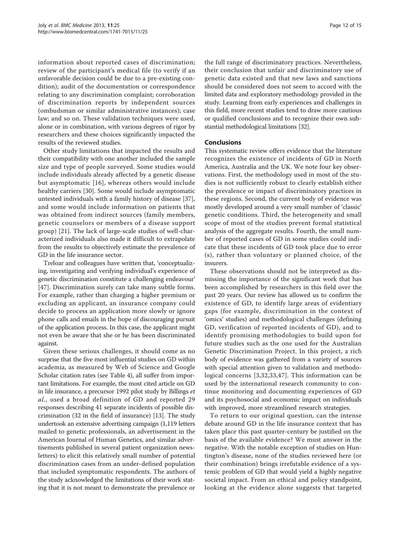information about reported cases of discrimination; review of the participant's medical file (to verify if an unfavorable decision could be due to a pre-existing condition); audit of the documentation or correspondence relating to any discrimination complaint; corroboration of discrimination reports by independent sources (ombudsman or similar administrative instances); case law; and so on. These validation techniques were used, alone or in combination, with various degrees of rigor by researchers and these choices significantly impacted the results of the reviewed studies.

Other study limitations that impacted the results and their compatibility with one another included the sample size and type of people surveyed. Some studies would include individuals already affected by a genetic disease but asymptomatic [\[16\]](#page-13-0), whereas others would include healthy carriers [[30\]](#page-14-0). Some would include asymptomatic untested individuals with a family history of disease [\[37](#page-14-0)], and some would include information on patients that was obtained from indirect sources (family members, genetic counselors or members of a disease support group) [[21\]](#page-13-0). The lack of large-scale studies of well-characterized individuals also made it difficult to extrapolate from the results to objectively estimate the prevalence of GD in the life insurance sector.

Treloar and colleagues have written that, 'conceptualizing, investigating and verifying individual's experience of genetic discrimination constitute a challenging endeavour' [[47](#page-14-0)]. Discrimination surely can take many subtle forms. For example, rather than charging a higher premium or excluding an applicant, an insurance company could decide to process an application more slowly or ignore phone calls and emails in the hope of discouraging pursuit of the application process. In this case, the applicant might not even be aware that she or he has been discriminated against.

Given these serious challenges, it should come as no surprise that the five most influential studies on GD within academia, as measured by Web of Science and Google Scholar citation rates (see Table [4](#page-12-0)), all suffer from important limitations. For example, the most cited article on GD in life insurance, a precursor 1992 pilot study by Billings et al., used a broad definition of GD and reported 29 responses describing 41 separate incidents of possible discrimination (32 in the field of insurance) [[13\]](#page-13-0). The study undertook an extensive advertising campaign (1,119 letters mailed to genetic professionals, an advertisement in the American Journal of Human Genetics, and similar advertisements published in several patient organization newsletters) to elicit this relatively small number of potential discrimination cases from an under-defined population that included symptomatic respondents. The authors of the study acknowledged the limitations of their work stating that it is not meant to demonstrate the prevalence or

the full range of discriminatory practices. Nevertheless, their conclusion that unfair and discriminatory use of genetic data existed and that new laws and sanctions should be considered does not seem to accord with the limited data and exploratory methodology provided in the study. Learning from early experiences and challenges in this field, more recent studies tend to draw more cautious or qualified conclusions and to recognize their own substantial methodological limitations [[32](#page-14-0)].

# Conclusions

This systematic review offers evidence that the literature recognizes the existence of incidents of GD in North America, Australia and the UK. We note four key observations. First, the methodology used in most of the studies is not sufficiently robust to clearly establish either the prevalence or impact of discriminatory practices in these regions. Second, the current body of evidence was mostly developed around a very small number of 'classic' genetic conditions. Third, the heterogeneity and small scope of most of the studies prevent formal statistical analysis of the aggregate results. Fourth, the small number of reported cases of GD in some studies could indicate that these incidents of GD took place due to error (s), rather than voluntary or planned choice, of the insurers.

These observations should not be interpreted as dismissing the importance of the significant work that has been accomplished by researchers in this field over the past 20 years. Our review has allowed us to confirm the existence of GD, to identify large areas of evidentiary gaps (for example, discrimination in the context of 'omics' studies) and methodological challenges (defining GD, verification of reported incidents of GD), and to identify promising methodologies to build upon for future studies such as the one used for the Australian Genetic Discrimination Project. In this project, a rich body of evidence was gathered from a variety of sources with special attention given to validation and methodological concerns [[3](#page-13-0),[32,33,47](#page-14-0)]. This information can be used by the international research community to continue monitoring and documenting experiences of GD and its psychosocial and economic impact on individuals with improved, more streamlined research strategies.

To return to our original question, can the intense debate around GD in the life insurance context that has taken place this past quarter-century be justified on the basis of the available evidence? We must answer in the negative. With the notable exception of studies on Huntington's disease, none of the studies reviewed here (or their combination) brings irrefutable evidence of a systemic problem of GD that would yield a highly negative societal impact. From an ethical and policy standpoint, looking at the evidence alone suggests that targeted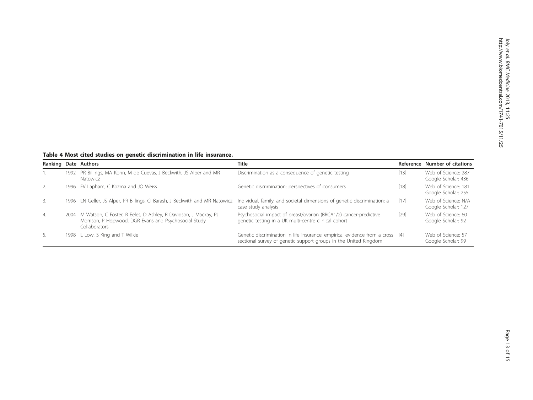<span id="page-12-0"></span>Table 4 Most cited studies on genetic discrimination in life insurance.

|    | Ranking Date Authors                                                                                                                           | <b>Title</b>                                                                                                                                  |        | Reference Number of citations              |
|----|------------------------------------------------------------------------------------------------------------------------------------------------|-----------------------------------------------------------------------------------------------------------------------------------------------|--------|--------------------------------------------|
|    | 1992 PR Billings, MA Kohn, M de Cuevas, J Beckwith, JS Alper and MR<br>Natowicz                                                                | Discrimination as a consequence of genetic testing                                                                                            | $[13]$ | Web of Science: 287<br>Google Scholar: 436 |
| 2. | 1996 EV Lapham, C Kozma and JO Weiss                                                                                                           | Genetic discrimination: perspectives of consumers                                                                                             | [18]   | Web of Science: 181<br>Google Scholar: 255 |
| 3. | 1996 LN Geller, JS Alper, PR Billings, CI Barash, J Beckwith and MR Natowicz                                                                   | Individual, family, and societal dimensions of genetic discrimination: a<br>case study analysis                                               | $[17]$ | Web of Science: N/A<br>Google Scholar: 127 |
| 4. | 2004 M Watson, C Foster, R Eeles, D Ashley, R Davidson, J Mackay, PJ<br>Morrison, P Hopwood, DGR Evans and Psychosocial Study<br>Collaborators | Psychosocial impact of breast/ovarian (BRCA1/2) cancer-predictive<br>genetic testing in a UK multi-centre clinical cohort                     | $[29]$ | Web of Science: 60<br>Google Scholar: 92   |
| 5. | 1998 L Low, S King and T Wilkie                                                                                                                | Genetic discrimination in life insurance: empirical evidence from a cross<br>sectional survey of genetic support groups in the United Kingdom | [4]    | Web of Science: 57<br>Google Scholar: 99   |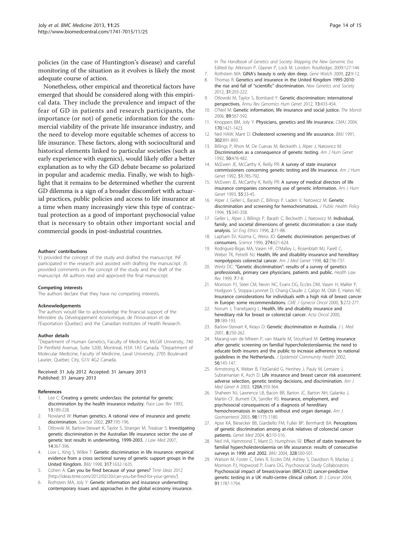<span id="page-13-0"></span>policies (in the case of Huntington's disease) and careful monitoring of the situation as it evolves is likely the most adequate course of action.

Nonetheless, other empirical and theoretical factors have emerged that should be considered along with this empirical data. They include the prevalence and impact of the fear of GD in patients and research participants, the importance (or not) of genetic information for the commercial viability of the private life insurance industry, and the need to develop more equitable schemes of access to life insurance. These factors, along with sociocultural and historical elements linked to particular societies (such as early experience with eugenics), would likely offer a better explanation as to why the GD debate became so polarized in popular and academic media. Finally, we wish to highlight that it remains to be determined whether the current GD dilemma is a sign of a broader discomfort with actuarial practices, public policies and access to life insurance at a time when many increasingly view this type of contractual protection as a good of important psychosocial value that is necessary to obtain other important social and commercial goods in post-industrial countries.

#### Authors' contributions

YJ provided the concept of the study and drafted the manuscript. INF participated in the research and assisted with drafting the manuscript. JS provided comments on the concept of the study and the draft of the manuscript. All authors read and approved the final manuscript.

#### Competing interests

The authors declare that they have no competing interests.

#### Acknowledgements

The authors would like to acknowledge the financial support of the Ministère du Développement économique, de l'Innovation et de l'Exportation (Quebec) and the Canadian Institutes of Health Research.

#### Author details

<sup>1</sup>Department of Human Genetics, Faculty of Medicine, McGill University, 740 Dr Penfield Avenue, Suite 5200, Montreal, H3A 1A5 Canada. <sup>2</sup>Department of Molecular Medicine, Faculty of Medicine, Laval University, 2705 Boulevard Laurier, Quebec City, G1V 4G2 Canada.

#### Received: 31 July 2012 Accepted: 31 January 2013 Published: 31 January 2013

#### References

- 1. Lee C: [Creating a genetic underclass: the potential for genetic](http://www.ncbi.nlm.nih.gov/pubmed/11659744?dopt=Abstract) [discrimination by the health insurance industry.](http://www.ncbi.nlm.nih.gov/pubmed/11659744?dopt=Abstract) Pace Law Rev 1993, 13:189-228.
- Nowland W: [Human genetics. A rational view of insurance and genetic](http://www.ncbi.nlm.nih.gov/pubmed/12114609?dopt=Abstract) [discrimination.](http://www.ncbi.nlm.nih.gov/pubmed/12114609?dopt=Abstract) Science 2002, 297:195-196.
- 3. Otlowski M, Barlow-Stewart K, Taylor S, Stranger M, Trealoar S: [Investigating](http://www.ncbi.nlm.nih.gov/pubmed/17355100?dopt=Abstract) [genetic discrimination in the Australian life insurance sector: the use of](http://www.ncbi.nlm.nih.gov/pubmed/17355100?dopt=Abstract) [genetic test results in underwriting, 1999-2003.](http://www.ncbi.nlm.nih.gov/pubmed/17355100?dopt=Abstract) J Law Med 2007, 14:367-396.
- 4. Low L, King S, Wilkie T: [Genetic discrimination in life insurance: empirical](http://www.ncbi.nlm.nih.gov/pubmed/9848905?dopt=Abstract) [evidence from a cross sectional survey of genetic support groups in the](http://www.ncbi.nlm.nih.gov/pubmed/9848905?dopt=Abstract) [United Kingdom.](http://www.ncbi.nlm.nih.gov/pubmed/9848905?dopt=Abstract) BMJ 1998, 317:1632-1635.
- 5. Cohen A: Can you be fired because of your genes? Time Ideas 2012 [\[http://ideas.time.com/2012/02/20/can-you-be-fired-for-your-genes/](http://ideas.time.com/2012/02/20/can-you-be-fired-for-your-genes/)].
- 6. Rothstein MA, Joly Y: Genetic information and insurance underwriting: contemporary issues and approaches in the global economy insurance.

In The Handbook of Genetics and Society: Mapping the New Genomic Era. Edited by: Atkinson P, Glasner P, Lock M. London: Routledge; 2009:127-144.

- 7. Rothstein MA: GINA's beauty is only skin deep. Gene Watch 2009, 22:9-12. 8. Thomas R: Genetics and insurance in the United Kingdom 1995-2010: the rise and fall of "scientific" discrimination. New Genetics and Society 2012, 31:203-222.
- 9. Otlowski M, Taylor S, Bombard Y: [Genetic discrimination: international](http://www.ncbi.nlm.nih.gov/pubmed/22607273?dopt=Abstract) [perspectives.](http://www.ncbi.nlm.nih.gov/pubmed/22607273?dopt=Abstract) Annu Rev Genomics Hum Genet 2012, 13:433-454.
- 10. O'Neil M: Genetic information, life insurance and social justice. The Monist 2006, 89:567-592.
- 11. Knoppers BM, Joly Y: [Physicians, genetics and life insurance.](http://www.ncbi.nlm.nih.gov/pubmed/15111477?dopt=Abstract) CMAJ 2004, 170:1421-1423.
- 12. Neil HAW, Mant D: [Cholesterol screening and life assurance.](http://www.ncbi.nlm.nih.gov/pubmed/2025730?dopt=Abstract) BMJ 1991, 302:891-893.
- 13. Billings P, Khon M, De Cuevas M, Beckwith J, Alper J, Natowicz M: [Discrimination as a consequence of genetic testing.](http://www.ncbi.nlm.nih.gov/pubmed/1539589?dopt=Abstract) Am J Hum Genet 1992, 50:476-482.
- 14. McEwen JE, McCarthy K, Reilly PR: [A survey of state insurance](http://www.ncbi.nlm.nih.gov/pubmed/1307229?dopt=Abstract) [commissioners concerning genetic testing and life insurance.](http://www.ncbi.nlm.nih.gov/pubmed/1307229?dopt=Abstract) Am J Hum Genet 1992, 51:785-792.
- 15. McEwen JE, McCarthy K, Reilly PR: A survey of medical directors of life insurance companies concerning use of genetic information. Am J Hum Genet 1993, 55:33-45.
- 16. Alper J, Geller L, Barash C, Billings P, Laden V, Natowicz M: [Genetic](http://www.ncbi.nlm.nih.gov/pubmed/7983195?dopt=Abstract) [discrimination and screening for hemochromatosis.](http://www.ncbi.nlm.nih.gov/pubmed/7983195?dopt=Abstract) J Public Health Policy 1994, 15:345-358.
- 17. Geller L, Alper J, Billings P, Barash C, Beckwith J, Natowicz M: [Individual,](http://www.ncbi.nlm.nih.gov/pubmed/11657787?dopt=Abstract) [family, and societal dimensions of genetic discrimination: a case study](http://www.ncbi.nlm.nih.gov/pubmed/11657787?dopt=Abstract) [analysis.](http://www.ncbi.nlm.nih.gov/pubmed/11657787?dopt=Abstract) Sci Eng Ethics 1996, 2:71-88.
- 18. Lapham EV, Kozma C, Weiss JO: [Genetic discrimination: perspectives of](http://www.ncbi.nlm.nih.gov/pubmed/8849455?dopt=Abstract) [consumers.](http://www.ncbi.nlm.nih.gov/pubmed/8849455?dopt=Abstract) Science 1996, 274:621-624.
- 19. Rodriguez-Bigas MA, Vasen HF, O'Malley L, Rosenblatt MJ, Farell C, Weber TK, Petrelli NJ: Health, life and disability insurance and hereditary nonpolyposis colorectal cancer. Am J Med Genet 1998, 62:736-737.
- 20. Wertz DC: "Genetic discrimination": results of a survey of genetics professionals, primary care physicians, patients and public. Health Law Rev 1999, 7:7-8.
- 21. Morrison PJ, Steel CM, Nevin NC, Evans DG, Eccles DM, Vasen H, Møller P, Hodgson S, Stoppa-Lyonnet D, Chang-Claude J, Caligo M, Oláh E, Haites NE: Insurance considerations for individuals with a high risk of breast cancer in Europe: some recommendations. CME J Gynecol Oncol 2000, 5:272-277.
- 22. Norum J, Tranebjaerg L: [Health, life and disability insurance and](http://www.ncbi.nlm.nih.gov/pubmed/10859009?dopt=Abstract) [hereditary risk for breast or colorectal cancer.](http://www.ncbi.nlm.nih.gov/pubmed/10859009?dopt=Abstract) Acta Oncol 2000, 39:189-193.
- 23. Barlow-Stewart K, Keays D: Genetic discrimination in Australia. J L Med 2001, 8:250-262.
- 24. Marang-van de Mheen P, van Maarle M, Stouthard M: [Getting insurance](http://www.ncbi.nlm.nih.gov/pubmed/11812815?dopt=Abstract) [after genetic screening on familial hypercholesterolaemia; the need to](http://www.ncbi.nlm.nih.gov/pubmed/11812815?dopt=Abstract) [educate both insurers and the public to increase adherence to national](http://www.ncbi.nlm.nih.gov/pubmed/11812815?dopt=Abstract) [guidelines in the Netherlands.](http://www.ncbi.nlm.nih.gov/pubmed/11812815?dopt=Abstract) J Epidemiol Community Health 2002, 56:145-147.
- 25. Armstrong K, Weber B, FitzGerald G, Hershey J, Pauly M, Lemaire J, Subramanian K, Asch D: [Life insurance and breast cancer risk assessment:](http://www.ncbi.nlm.nih.gov/pubmed/12838555?dopt=Abstract) [adverse selection, genetic testing decisions, and discrimination.](http://www.ncbi.nlm.nih.gov/pubmed/12838555?dopt=Abstract) Am J Med Genet A 2003, 120A:359-364.
- 26. Shaheen NJ, Lawrence LB, Bacon BR, Barton JC, Barton NH, Galanko J, Martin CF, Burnett CK, Sandler RS: [Insurance, employment, and](http://www.ncbi.nlm.nih.gov/pubmed/12809845?dopt=Abstract) [psychosocial consequences of a diagnosis of hereditary](http://www.ncbi.nlm.nih.gov/pubmed/12809845?dopt=Abstract) [hemochromatosis in subjects without end organ damage.](http://www.ncbi.nlm.nih.gov/pubmed/12809845?dopt=Abstract) Am J Gastroenterol 2003, 98:1175-1180.
- 27. Apse KA, Biesecker BB, Giardiello FM, Fuller BP, Bernhardt BA: [Perceptions](http://www.ncbi.nlm.nih.gov/pubmed/15545747?dopt=Abstract) [of genetic discrimination among at-risk relatives of colorectal cancer](http://www.ncbi.nlm.nih.gov/pubmed/15545747?dopt=Abstract) [patients.](http://www.ncbi.nlm.nih.gov/pubmed/15545747?dopt=Abstract) Genet Med 2004, 6:510-516.
- 28. Neil HA, Hammond T, Mant D, Humphries SE: [Effect of statin treatment for](http://www.ncbi.nlm.nih.gov/pubmed/14988185?dopt=Abstract) [familial hypercholesterolaemia on life assurance: results of consecutive](http://www.ncbi.nlm.nih.gov/pubmed/14988185?dopt=Abstract) [surveys in 1990 and 2002.](http://www.ncbi.nlm.nih.gov/pubmed/14988185?dopt=Abstract) BMJ 2004, 328:500-501.
- 29. Watson M, Foster C, Eeles R, Eccles DM, Ashley S, Davidson R, Mackay J, Morrison PJ, Hopwood P, Evans DG, Psychosocial Study Collaborators: [Psychosocial impact of breast/ovarian \(BRCA1/2\) cancer-predictive](http://www.ncbi.nlm.nih.gov/pubmed/15505627?dopt=Abstract) [genetic testing in a UK multi-centre clinical cohort.](http://www.ncbi.nlm.nih.gov/pubmed/15505627?dopt=Abstract) Br J Cancer 2004, 91:1787-1794.